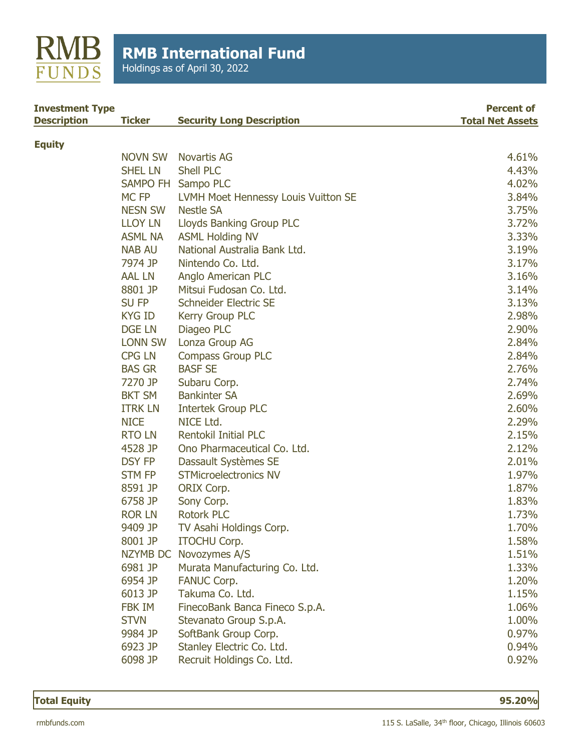

Holdings as of April 30, 2022

| <b>Investment Type</b><br><b>Description</b> | <b>Ticker</b>    | <b>Security Long Description</b>    | <b>Percent of</b><br><b>Total Net Assets</b> |
|----------------------------------------------|------------------|-------------------------------------|----------------------------------------------|
| <b>Equity</b>                                |                  |                                     |                                              |
|                                              | <b>NOVN SW</b>   | Novartis AG                         | 4.61%                                        |
|                                              | <b>SHEL LN</b>   | <b>Shell PLC</b>                    | 4.43%                                        |
|                                              |                  | SAMPO FH Sampo PLC                  | 4.02%                                        |
|                                              | MC <sub>FP</sub> | LVMH Moet Hennessy Louis Vuitton SE | 3.84%                                        |
|                                              | <b>NESN SW</b>   | <b>Nestle SA</b>                    | 3.75%                                        |
|                                              | <b>LLOY LN</b>   | <b>Lloyds Banking Group PLC</b>     | 3.72%                                        |
|                                              | <b>ASML NA</b>   | <b>ASML Holding NV</b>              | 3.33%                                        |
|                                              | <b>NAB AU</b>    | National Australia Bank Ltd.        | 3.19%                                        |
|                                              | 7974 JP          | Nintendo Co. Ltd.                   | 3.17%                                        |
|                                              | <b>AAL LN</b>    | Anglo American PLC                  | 3.16%                                        |
|                                              | 8801 JP          | Mitsui Fudosan Co. Ltd.             | 3.14%                                        |
|                                              | SU FP            | Schneider Electric SE               | 3.13%                                        |
|                                              | <b>KYG ID</b>    | Kerry Group PLC                     | 2.98%                                        |
|                                              | <b>DGE LN</b>    | Diageo PLC                          | 2.90%                                        |
|                                              | <b>LONN SW</b>   | Lonza Group AG                      | 2.84%                                        |
|                                              | <b>CPG LN</b>    | <b>Compass Group PLC</b>            | 2.84%                                        |
|                                              | <b>BAS GR</b>    | <b>BASF SE</b>                      | 2.76%                                        |
|                                              | 7270 JP          | Subaru Corp.                        | 2.74%                                        |
|                                              | <b>BKT SM</b>    | <b>Bankinter SA</b>                 | 2.69%                                        |
|                                              | <b>ITRK LN</b>   | <b>Intertek Group PLC</b>           | 2.60%                                        |
|                                              | <b>NICE</b>      | NICE Ltd.                           | 2.29%                                        |
|                                              | <b>RTOLN</b>     | <b>Rentokil Initial PLC</b>         | 2.15%                                        |
|                                              | 4528 JP          | Ono Pharmaceutical Co. Ltd.         | 2.12%                                        |
|                                              | <b>DSY FP</b>    | Dassault Systèmes SE                | 2.01%                                        |
|                                              | <b>STM FP</b>    | <b>STMicroelectronics NV</b>        | 1.97%                                        |
|                                              | 8591 JP          | ORIX Corp.                          | 1.87%                                        |
|                                              | 6758 JP          | Sony Corp.                          | 1.83%                                        |
|                                              | <b>ROR LN</b>    | <b>Rotork PLC</b>                   | 1.73%                                        |
|                                              | 9409 JP          | TV Asahi Holdings Corp.             | 1.70%                                        |
|                                              | 8001 JP          | <b>ITOCHU Corp.</b>                 | 1.58%                                        |
|                                              |                  | NZYMB DC Novozymes A/S              | 1.51%                                        |
|                                              | 6981 JP          | Murata Manufacturing Co. Ltd.       | 1.33%                                        |
|                                              | 6954 JP          | <b>FANUC Corp.</b>                  | 1.20%                                        |
|                                              | 6013 JP          | Takuma Co. Ltd.                     | 1.15%                                        |
|                                              | <b>FBK IM</b>    | FinecoBank Banca Fineco S.p.A.      | 1.06%                                        |
|                                              | <b>STVN</b>      | Stevanato Group S.p.A.              | 1.00%                                        |
|                                              | 9984 JP          | SoftBank Group Corp.                | 0.97%                                        |
|                                              | 6923 JP          | Stanley Electric Co. Ltd.           | 0.94%                                        |
|                                              | 6098 JP          | Recruit Holdings Co. Ltd.           | 0.92%                                        |